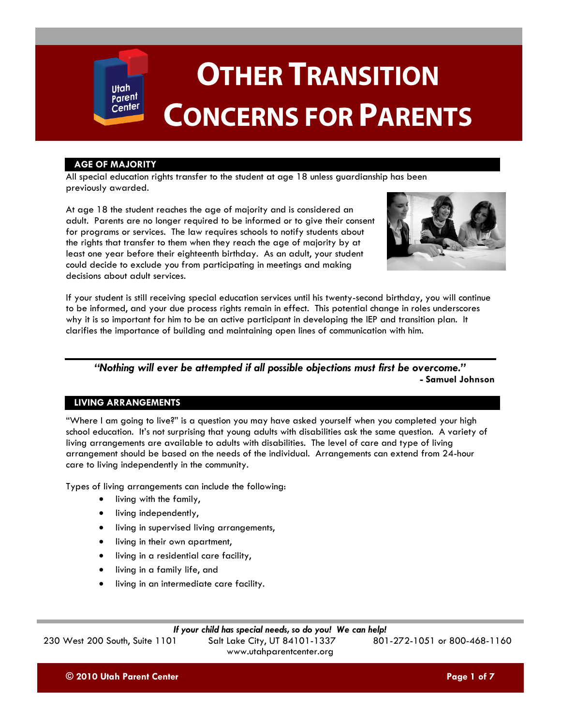# **AGE OF MAJORITY**

Utah Parent Center

All special education rights transfer to the student at age 18 unless guardianship has been previously awarded.

At age 18 the student reaches the age of majority and is considered an adult. Parents are no longer required to be informed or to give their consent for programs or services. The law requires schools to notify students about the rights that transfer to them when they reach the age of majority by at least one year before their eighteenth birthday. As an adult, your student could decide to exclude you from participating in meetings and making decisions about adult services.



If your student is still receiving special education services until his twenty-second birthday, you will continue to be informed, and your due process rights remain in effect. This potential change in roles underscores why it is so important for him to be an active participant in developing the IEP and transition plan. It clarifies the importance of building and maintaining open lines of communication with him.

*"Nothing will ever be attempted if all possible objections must first be overcome."* **- Samuel Johnson**

# **LIVING ARRANGEMENTS**

"Where I am going to live?" is a question you may have asked yourself when you completed your high school education. It's not surprising that young adults with disabilities ask the same question. A variety of living arrangements are available to adults with disabilities. The level of care and type of living arrangement should be based on the needs of the individual. Arrangements can extend from 24-hour care to living independently in the community.

Types of living arrangements can include the following:

- living with the family,
- living independently,
- **•** living in supervised living arrangements,
- living in their own apartment,
- living in a residential care facility,
- living in a family life, and
- living in an intermediate care facility.

# *If your child has special needs, so do you! We can help!*

230 West 200 South, Suite 1101 Salt Lake City, UT 84101-1337

www.utahparentcenter.org

**© 2010 Utah Parent Center Page 1 of 7**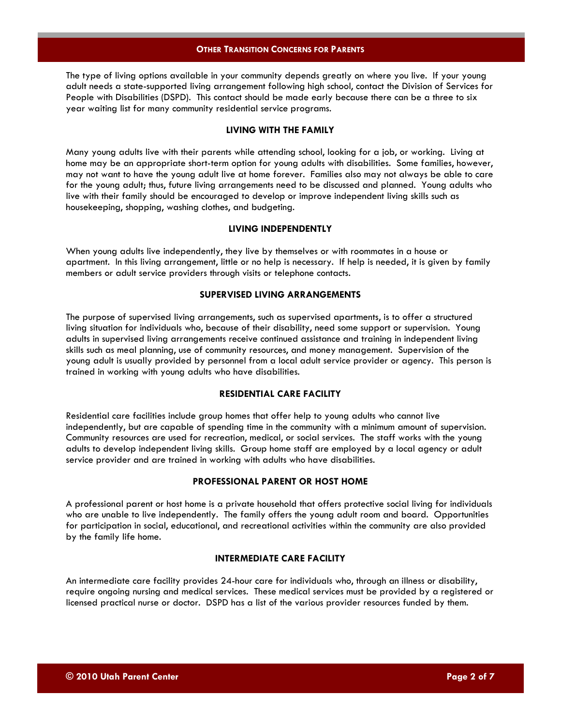The type of living options available in your community depends greatly on where you live. If your young adult needs a state-supported living arrangement following high school, contact the Division of Services for People with Disabilities (DSPD). This contact should be made early because there can be a three to six year waiting list for many community residential service programs.

#### **LIVING WITH THE FAMILY**

Many young adults live with their parents while attending school, looking for a job, or working. Living at home may be an appropriate short-term option for young adults with disabilities. Some families, however, may not want to have the young adult live at home forever. Families also may not always be able to care for the young adult; thus, future living arrangements need to be discussed and planned. Young adults who live with their family should be encouraged to develop or improve independent living skills such as housekeeping, shopping, washing clothes, and budgeting.

#### **LIVING INDEPENDENTLY**

When young adults live independently, they live by themselves or with roommates in a house or apartment. In this living arrangement, little or no help is necessary. If help is needed, it is given by family members or adult service providers through visits or telephone contacts.

#### **SUPERVISED LIVING ARRANGEMENTS**

The purpose of supervised living arrangements, such as supervised apartments, is to offer a structured living situation for individuals who, because of their disability, need some support or supervision. Young adults in supervised living arrangements receive continued assistance and training in independent living skills such as meal planning, use of community resources, and money management. Supervision of the young adult is usually provided by personnel from a local adult service provider or agency. This person is trained in working with young adults who have disabilities.

# **RESIDENTIAL CARE FACILITY**

Residential care facilities include group homes that offer help to young adults who cannot live independently, but are capable of spending time in the community with a minimum amount of supervision. Community resources are used for recreation, medical, or social services. The staff works with the young adults to develop independent living skills. Group home staff are employed by a local agency or adult service provider and are trained in working with adults who have disabilities.

#### **PROFESSIONAL PARENT OR HOST HOME**

A professional parent or host home is a private household that offers protective social living for individuals who are unable to live independently. The family offers the young adult room and board. Opportunities for participation in social, educational, and recreational activities within the community are also provided by the family life home.

# **INTERMEDIATE CARE FACILITY**

An intermediate care facility provides 24-hour care for individuals who, through an illness or disability, require ongoing nursing and medical services. These medical services must be provided by a registered or licensed practical nurse or doctor. DSPD has a list of the various provider resources funded by them.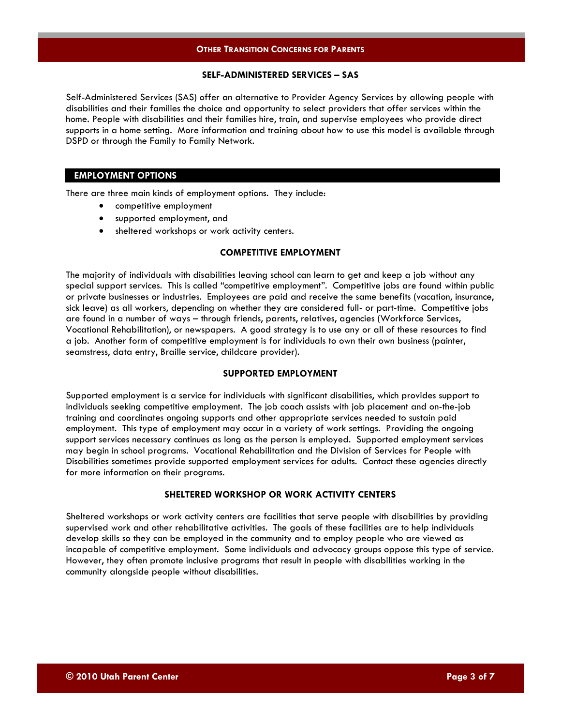# **SELF-ADMINISTERED SERVICES – SAS**

Self-Administered Services (SAS) offer an alternative to Provider Agency Services by allowing people with disabilities and their families the choice and opportunity to select providers that offer services within the home. People with disabilities and their families hire, train, and supervise employees who provide direct supports in a home setting. More information and training about how to use this model is available through DSPD or through the Family to Family Network.

# **EMPLOYMENT OPTIONS**

There are three main kinds of employment options. They include:

- competitive employment
- supported employment, and
- sheltered workshops or work activity centers.

# **COMPETITIVE EMPLOYMENT**

The majority of individuals with disabilities leaving school can learn to get and keep a job without any special support services. This is called "competitive employment". Competitive jobs are found within public or private businesses or industries. Employees are paid and receive the same benefits (vacation, insurance, sick leave) as all workers, depending on whether they are considered full- or part-time. Competitive jobs are found in a number of ways – through friends, parents, relatives, agencies (Workforce Services, Vocational Rehabilitation), or newspapers. A good strategy is to use any or all of these resources to find a job. Another form of competitive employment is for individuals to own their own business (painter, seamstress, data entry, Braille service, childcare provider).

# **SUPPORTED EMPLOYMENT**

Supported employment is a service for individuals with significant disabilities, which provides support to individuals seeking competitive employment. The job coach assists with job placement and on-the-job training and coordinates ongoing supports and other appropriate services needed to sustain paid employment. This type of employment may occur in a variety of work settings. Providing the ongoing support services necessary continues as long as the person is employed. Supported employment services may begin in school programs. Vocational Rehabilitation and the Division of Services for People with Disabilities sometimes provide supported employment services for adults. Contact these agencies directly for more information on their programs.

# **SHELTERED WORKSHOP OR WORK ACTIVITY CENTERS**

Sheltered workshops or work activity centers are facilities that serve people with disabilities by providing supervised work and other rehabilitative activities. The goals of these facilities are to help individuals develop skills so they can be employed in the community and to employ people who are viewed as incapable of competitive employment. Some individuals and advocacy groups oppose this type of service. However, they often promote inclusive programs that result in people with disabilities working in the community alongside people without disabilities.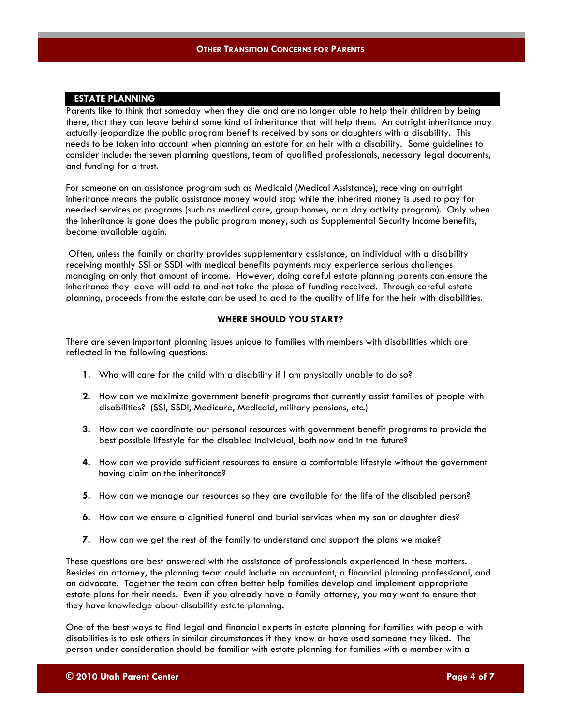# **ESTATE PLANNING**

Parents like to think that someday when they die and are no longer able to help their children by being there, that they can leave behind some kind of inheritance that will help them. An outright inheritance may actually jeopardize the public program benefits received by sons or daughters with a disability. This needs to be taken into account when planning an estate for an heir with a disability. Some guidelines to consider include: the seven planning questions, team of qualified professionals, necessary legal documents, and funding for a trust.

For someone on an assistance program such as Medicaid (Medical Assistance), receiving an outright inheritance means the public assistance money would stop while the inherited money is used to pay for needed services or programs (such as medical care, group homes, or a day activity program). Only when the inheritance is gone does the public program money, such as Supplemental Security Income benefits, become available again.

Often, unless the family or charity provides supplementary assistance, an individual with a disability receiving monthly SSI or SSDI with medical benefits payments may experience serious challenges managing on only that amount of income. However, doing careful estate planning parents can ensure the inheritance they leave will add to and not take the place of funding received. Through careful estate planning, proceeds from the estate can be used to add to the quality of life for the heir with disabilities.

#### **WHERE SHOULD YOU START?**

There are seven important planning issues unique to families with members with disabilities which are reflected in the following questions:

- **1.** Who will care for the child with a disability if I am physically unable to do so?
- **2.** How can we maximize government benefit programs that currently assist families of people with disabilities? (SSI, SSDI, Medicare, Medicaid, military pensions, etc.)
- **3.** How can we coordinate our personal resources with government benefit programs to provide the best possible lifestyle for the disabled individual, both now and in the future?
- **4.** How can we provide sufficient resources to ensure a comfortable lifestyle without the government having claim on the inheritance?
- **5.** How can we manage our resources so they are available for the life of the disabled person?
- **6.** How can we ensure a dignified funeral and burial services when my son or daughter dies?
- **7.** How can we get the rest of the family to understand and support the plans we make?

These questions are best answered with the assistance of professionals experienced in these matters. Besides an attorney, the planning team could include an accountant, a financial planning professional, and an advocate. Together the team can often better help families develop and implement appropriate estate plans for their needs. Even if you already have a family attorney, you may want to ensure that they have knowledge about disability estate planning.

One of the best ways to find legal and financial experts in estate planning for families with people with disabilities is to ask others in similar circumstances if they know or have used someone they liked. The person under consideration should be familiar with estate planning for families with a member with a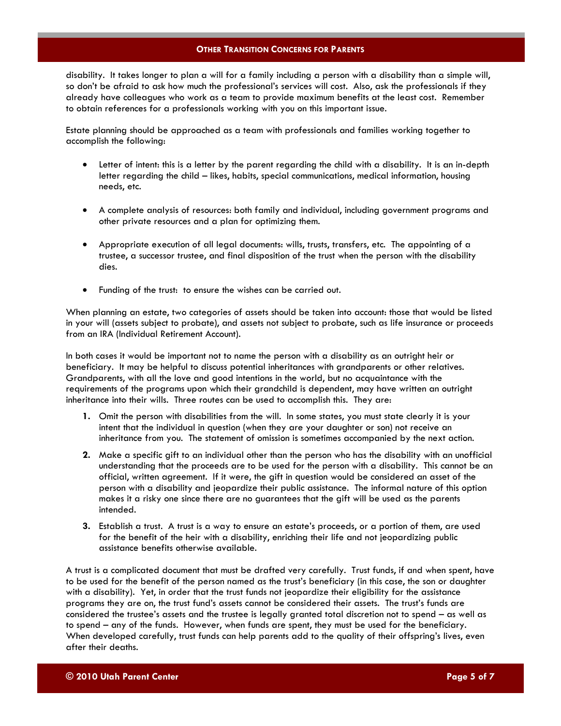disability. It takes longer to plan a will for a family including a person with a disability than a simple will, so don't be afraid to ask how much the professional's services will cost. Also, ask the professionals if they already have colleagues who work as a team to provide maximum benefits at the least cost. Remember to obtain references for a professionals working with you on this important issue.

Estate planning should be approached as a team with professionals and families working together to accomplish the following:

- Letter of intent: this is a letter by the parent regarding the child with a disability. It is an in-depth letter regarding the child – likes, habits, special communications, medical information, housing needs, etc.
- A complete analysis of resources: both family and individual, including government programs and other private resources and a plan for optimizing them.
- Appropriate execution of all legal documents: wills, trusts, transfers, etc. The appointing of a trustee, a successor trustee, and final disposition of the trust when the person with the disability dies.
- Funding of the trust: to ensure the wishes can be carried out.

When planning an estate, two categories of assets should be taken into account: those that would be listed in your will (assets subject to probate), and assets not subject to probate, such as life insurance or proceeds from an IRA (Individual Retirement Account).

In both cases it would be important not to name the person with a disability as an outright heir or beneficiary. It may be helpful to discuss potential inheritances with grandparents or other relatives. Grandparents, with all the love and good intentions in the world, but no acquaintance with the requirements of the programs upon which their grandchild is dependent, may have written an outright inheritance into their wills. Three routes can be used to accomplish this. They are:

- **1.** Omit the person with disabilities from the will. In some states, you must state clearly it is your intent that the individual in question (when they are your daughter or son) not receive an inheritance from you. The statement of omission is sometimes accompanied by the next action.
- **2.** Make a specific gift to an individual other than the person who has the disability with an unofficial understanding that the proceeds are to be used for the person with a disability. This cannot be an official, written agreement. If it were, the gift in question would be considered an asset of the person with a disability and jeopardize their public assistance. The informal nature of this option makes it a risky one since there are no guarantees that the gift will be used as the parents intended.
- **3.** Establish a trust. A trust is a way to ensure an estate's proceeds, or a portion of them, are used for the benefit of the heir with a disability, enriching their life and not jeopardizing public assistance benefits otherwise available.

A trust is a complicated document that must be drafted very carefully. Trust funds, if and when spent, have to be used for the benefit of the person named as the trust's beneficiary (in this case, the son or daughter with a disability). Yet, in order that the trust funds not jeopardize their eligibility for the assistance programs they are on, the trust fund's assets cannot be considered their assets. The trust's funds are considered the trustee's assets and the trustee is legally granted total discretion not to spend – as well as to spend – any of the funds. However, when funds are spent, they must be used for the beneficiary. When developed carefully, trust funds can help parents add to the quality of their offspring's lives, even after their deaths.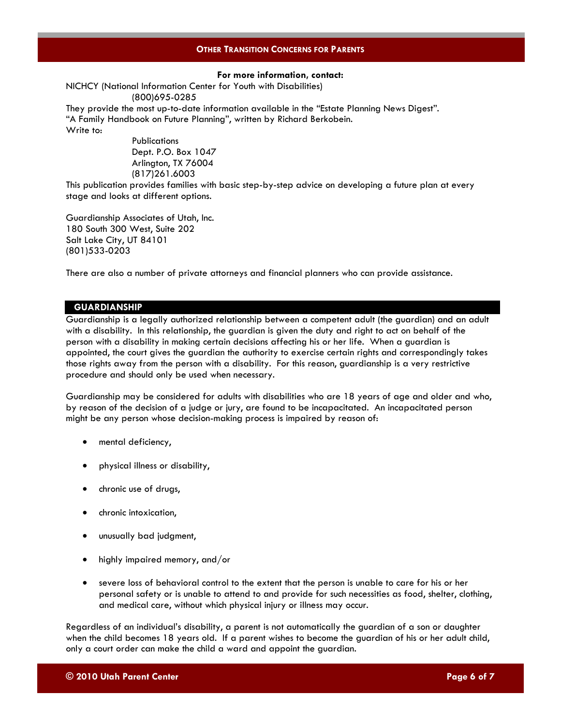# **For more information, contact:**

NICHCY (National Information Center for Youth with Disabilities) (800)695-0285

They provide the most up-to-date information available in the "Estate Planning News Digest". "A Family Handbook on Future Planning", written by Richard Berkobein. Write to:

> **Publications** Dept. P.O. Box 1047 Arlington, TX 76004 (817)261.6003

This publication provides families with basic step-by-step advice on developing a future plan at every stage and looks at different options.

Guardianship Associates of Utah, Inc. 180 South 300 West, Suite 202 Salt Lake City, UT 84101 (801)533-0203

There are also a number of private attorneys and financial planners who can provide assistance.

#### **GUARDIANSHIP**

Guardianship is a legally authorized relationship between a competent adult (the guardian) and an adult with a disability. In this relationship, the guardian is given the duty and right to act on behalf of the person with a disability in making certain decisions affecting his or her life. When a guardian is appointed, the court gives the guardian the authority to exercise certain rights and correspondingly takes those rights away from the person with a disability. For this reason, guardianship is a very restrictive procedure and should only be used when necessary.

Guardianship may be considered for adults with disabilities who are 18 years of age and older and who, by reason of the decision of a judge or jury, are found to be incapacitated. An incapacitated person might be any person whose decision-making process is impaired by reason of:

- mental deficiency,
- physical illness or disability,
- chronic use of drugs,
- chronic intoxication,
- unusually bad judgment,
- highly impaired memory, and/or
- severe loss of behavioral control to the extent that the person is unable to care for his or her personal safety or is unable to attend to and provide for such necessities as food, shelter, clothing, and medical care, without which physical injury or illness may occur.

Regardless of an individual's disability, a parent is not automatically the guardian of a son or daughter when the child becomes 18 years old. If a parent wishes to become the guardian of his or her adult child, only a court order can make the child a ward and appoint the guardian.